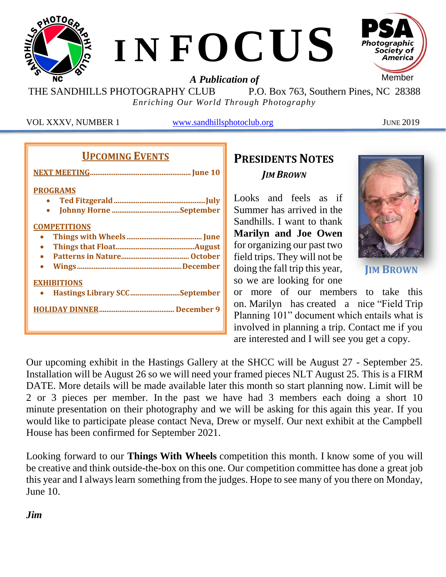

THE SANDHILLS PHOTOGRAPHY CLUB P.O. Box 763, Southern Pines, NC 28388 *Enriching Our World Through Photography*

VOL XXXV, NUMBER 1 [www.sandhillsphotoclub.org](http://www.sandhillsphotoclub.org/) JUNE 2019

## **UPCOMING EVENTS**

| <b>PROGRAMS</b>               |
|-------------------------------|
|                               |
|                               |
| <b>COMPETITIONS</b>           |
|                               |
|                               |
|                               |
|                               |
| <b>EXHIBITIONS</b>            |
| Hastings Library SCCSeptember |
|                               |
|                               |

## **PRESIDENTS NOTES** *JIM BROWN*

Looks and feels as if Summer has arrived in the Sandhills. I want to thank **Marilyn and Joe Owen** for organizing our past two field trips. They will not be doing the fall trip this year, so we are looking for one



**JIM BROWN**

or more of our members to take this on. Marilyn has created a nice "Field Trip Planning 101" document which entails what is involved in planning a trip. Contact me if you are interested and I will see you get a copy.

Our upcoming exhibit in the Hastings Gallery at the SHCC will be August 27 - September 25. Installation will be August 26 so we will need your framed pieces NLT August 25. This is a FIRM DATE. More details will be made available later this month so start planning now. Limit will be 2 or 3 pieces per member. In the past we have had 3 members each doing a short 10 minute presentation on their photography and we will be asking for this again this year. If you would like to participate please contact Neva, Drew or myself. Our next exhibit at the Campbell House has been confirmed for September 2021.

Looking forward to our **Things With Wheels** competition this month. I know some of you will be creative and think outside-the-box on this one. Our competition committee has done a great job this year and I always learn something from the judges. Hope to see many of you there on Monday, June 10.

### *Jim*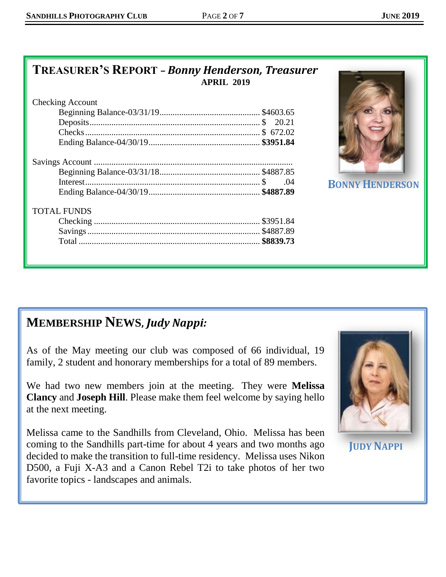## **TREASURER'S REPORT** *– Bonny Henderson, Treasurer* **APRIL 2019**

| <b>Checking Account</b> |     |
|-------------------------|-----|
|                         |     |
|                         |     |
|                         |     |
|                         |     |
|                         |     |
|                         |     |
|                         | .04 |
|                         |     |
| <b>TOTAL FUNDS</b>      |     |
|                         |     |
|                         |     |
|                         |     |
|                         |     |



**BONNY HENDERSON** 

## **MEMBERSHIP NEWS,** *Judy Nappi:*

As of the May meeting our club was composed of 66 individual, 19 family, 2 student and honorary memberships for a total of 89 members.

We had two new members join at the meeting. They were **Melissa Clancy** and **Joseph Hill**. Please make them feel welcome by saying hello at the next meeting.

Melissa came to the Sandhills from Cleveland, Ohio. Melissa has been coming to the Sandhills part-time for about 4 years and two months ago decided to make the transition to full-time residency. Melissa uses Nikon D500, a Fuji X-A3 and a Canon Rebel T2i to take photos of her two favorite topics - landscapes and animals.



**JUDY NAPPI**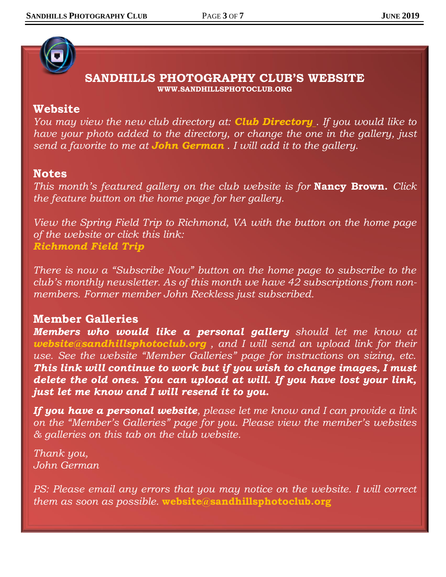## **SANDHILLS PHOTOGRAPHY CLUB'S WEBSITE WWW.SANDHILLSPHOTOCLUB.ORG**

### **Website**

*You may view the new club directory at: [Club Directory](https://sandhillsphotoclub.smugmug.com/Site-and-Logo-Images/Club-Members-Portrait-Collage/) . If you would like to have your photo added to the directory, or change the one in the gallery, just send a favorite to me at [John German](mailto:jojegerman@outlook.com) . I will add it to the gallery.*

### **Notes**

*This month's featured gallery on the club website is for* **[Nancy Brown.](https://sandhillsphotoclub.smugmug.com/Member-Galleries/Nancy-Brown/Photography-by-Nancy-Brown)** *Click the feature button on the home page for her gallery.*

*View the Spring Field Trip to Richmond, VA with the button on the home page of the website or click this link: [Richmond Field Trip](https://sandhillsphotoclub.smugmug.com/Meeting-Photos/2019-Spring-Field-Trip-to-Richmond-VA/2019-Spring-Field-Trip-to-Richmond-VA/)*

*There is now a "Subscribe Now" button on the home page to subscribe to the club's monthly newsletter. As of this month we have 42 subscriptions from nonmembers. Former member John Reckless just subscribed.*

## **Member Galleries**

*Members who would like a personal gallery should let me know at [website@sandhillsphotoclub.org](mailto:website@sandhillsphotoclub.org) , and I will send an upload link for their use. See the website "Member Galleries" page for instructions on sizing, etc. This link will continue to work but if you wish to change images, I must delete the old ones. You can upload at will. If you have lost your link, just let me know and I will resend it to you.*

*If you have a personal website, please let me know and I can provide a link on the "Member's Galleries" page for you. Please view the member's websites & galleries on this tab on the club website.*

*Thank you, John German*

*PS: Please email any errors that you may notice on the website. I will correct them as soon as possible.* **[website@sandhillsphotoclub.org](mailto:website@sandhillsphotoclub.org)**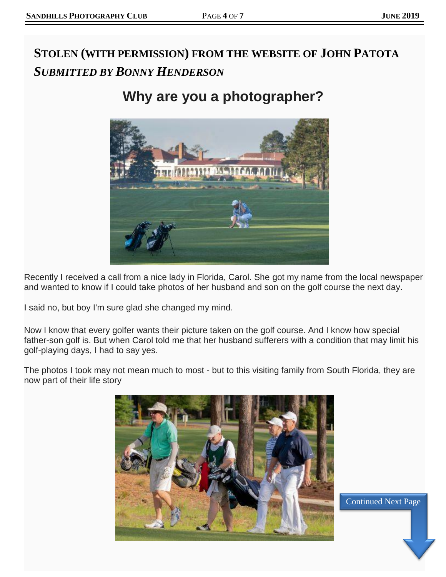Continued Next Page Continued Next Page

# **STOLEN (WITH PERMISSION) FROM THE WEBSITE OF JOHN PATOTA** *SUBMITTED BY BONNY HENDERSON*

# **Why are you a photographer?**



Recently I received a call from a nice lady in Florida, Carol. She got my name from the local newspaper and wanted to know if I could take photos of her husband and son on the golf course the next day.

I said no, but boy I'm sure glad she changed my mind.

Now I know that every golfer wants their picture taken on the golf course. And I know how special father-son golf is. But when Carol told me that her husband sufferers with a condition that may limit his golf-playing days, I had to say yes.

The photos I took may not mean much to most - but to this visiting family from South Florida, they are now part of their life story

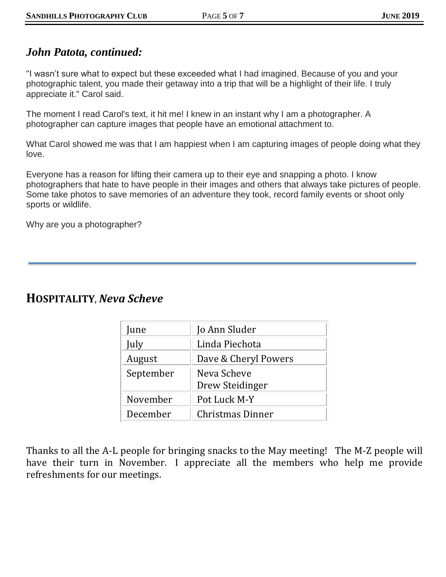### *John Patota, continued:*

"I wasn't sure what to expect but these exceeded what I had imagined. Because of you and your photographic talent, you made their getaway into a trip that will be a highlight of their life. I truly appreciate it." Carol said.

The moment I read Carol's text, it hit me! I knew in an instant why I am a photographer. A photographer can capture images that people have an emotional attachment to.

What Carol showed me was that I am happiest when I am capturing images of people doing what they love.

Everyone has a reason for lifting their camera up to their eye and snapping a photo. I know photographers that hate to have people in their images and others that always take pictures of people. Some take photos to save memories of an adventure they took, record family events or shoot only sports or wildlife.

Why are you a photographer?

### **HOSPITALITY**, *Neva Scheve*

| June      | Jo Ann Sluder                  |
|-----------|--------------------------------|
| July      | Linda Piechota                 |
| August    | Dave & Cheryl Powers           |
| September | Neva Scheve<br>Drew Steidinger |
| November  | Pot Luck M-Y                   |
| December  | Christmas Dinner               |

Thanks to all the A-L people for bringing snacks to the May meeting! The M-Z people will have their turn in November. I appreciate all the members who help me provide refreshments for our meetings.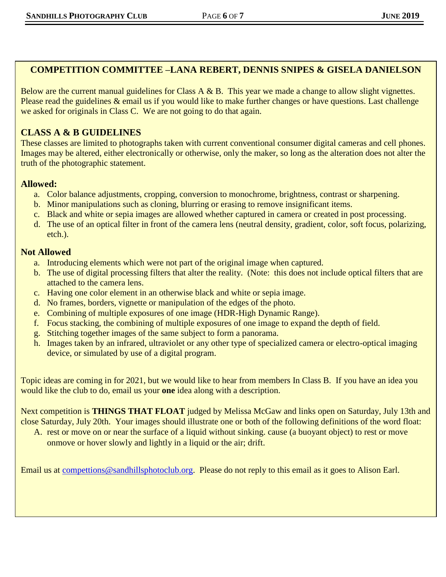### **COMPETITION COMMITTEE –LANA REBERT, DENNIS SNIPES & GISELA DANIELSON**

Below are the current manual guidelines for Class A & B. This year we made a change to allow slight vignettes. Please read the guidelines  $\&$  email us if you would like to make further changes or have questions. Last challenge we asked for originals in Class C. We are not going to do that again.

### **CLASS A & B GUIDELINES**

These classes are limited to photographs taken with current conventional consumer digital cameras and cell phones. Images may be altered, either electronically or otherwise, only the maker, so long as the alteration does not alter the truth of the photographic statement.

#### **Allowed:**

- a. Color balance adjustments, cropping, conversion to monochrome, brightness, contrast or sharpening.
- b. Minor manipulations such as cloning, blurring or erasing to remove insignificant items.
- c. Black and white or sepia images are allowed whether captured in camera or created in post processing.
- d. The use of an optical filter in front of the camera lens (neutral density, gradient, color, soft focus, polarizing, etch.).

#### **Not Allowed**

- a. Introducing elements which were not part of the original image when captured.
- b. The use of digital processing filters that alter the reality. (Note: this does not include optical filters that are attached to the camera lens.
- c. Having one color element in an otherwise black and white or sepia image.
- d. No frames, borders, vignette or manipulation of the edges of the photo.
- e. Combining of multiple exposures of one image (HDR-High Dynamic Range).
- f. Focus stacking, the combining of multiple exposures of one image to expand the depth of field.
- g. Stitching together images of the same subject to form a panorama.
- h. Images taken by an infrared, ultraviolet or any other type of specialized camera or electro-optical imaging device, or simulated by use of a digital program.

Topic ideas are coming in for 2021, but we would like to hear from members In Class B. If you have an idea you would like the club to do, email us your **one** idea along with a description.

Next competition is **THINGS THAT FLOAT** judged by Melissa McGaw and links open on Saturday, July 13th and close Saturday, July 20th. Your images should illustrate one or both of the following definitions of the word float:

A. rest or move on or near the surface of a liquid without sinking. cause (a buoyant object) to rest or move onmove or hover slowly and lightly in a liquid or the air; drift.

Email us at [compettions@sandhillsphotoclub.org.](mailto:compettions@sandhillsphotoclub.org) Please do not reply to this email as it goes to Alison Earl.